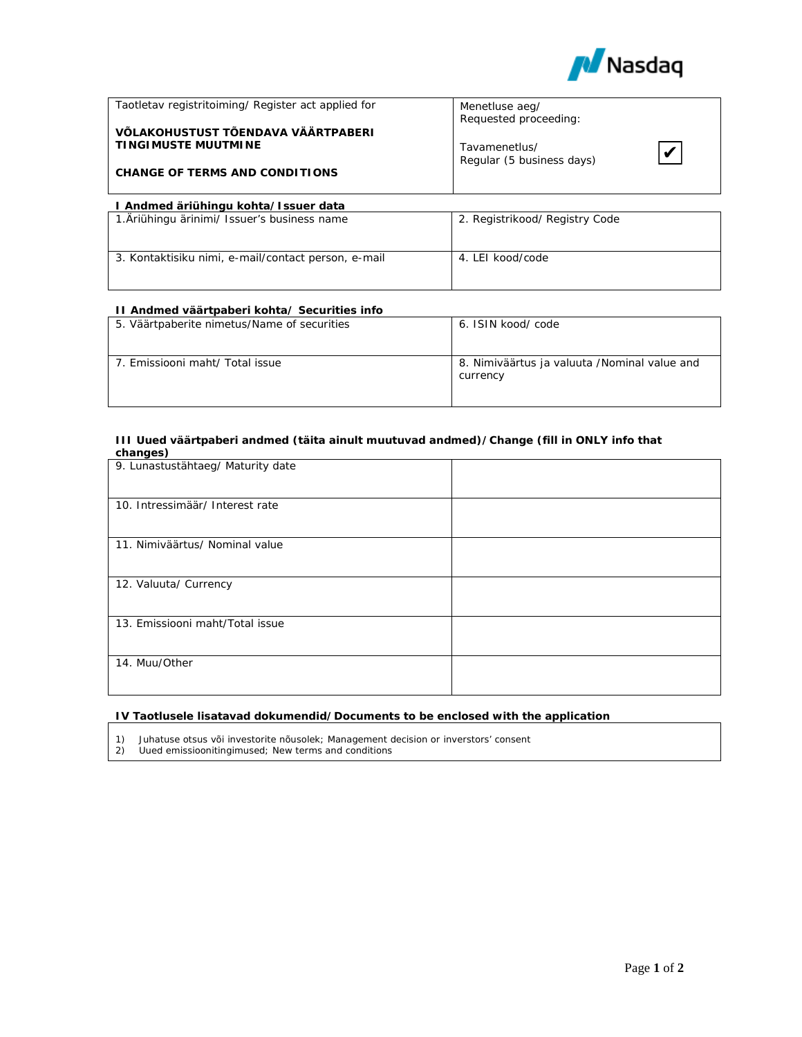

| Taotletav registritoiming/ Register act applied for<br>VÕLAKOHUSTUST TÕENDAVA VÄÄRTPABERI<br><b>TINGIMUSTE MUUTMINE</b><br><b>CHANGE OF TERMS AND CONDITIONS</b> | Menetluse aeg/<br>Requested proceeding:<br>Tavamenetlus/<br>$\boldsymbol{\nu}$<br>Regular (5 business days) |  |  |  |
|------------------------------------------------------------------------------------------------------------------------------------------------------------------|-------------------------------------------------------------------------------------------------------------|--|--|--|
| I Andmed äriühingu kohta/Issuer data                                                                                                                             |                                                                                                             |  |  |  |
| 1. Äriühingu ärinimi/ Issuer's business name                                                                                                                     | 2. Registrikood/ Registry Code                                                                              |  |  |  |
| 3. Kontaktisiku nimi, e-mail/contact person, e-mail                                                                                                              | 4. LEI kood/code                                                                                            |  |  |  |

# **II Andmed väärtpaberi kohta/ Securities info**

| 5. Väärtpaberite nimetus/Name of securities | 6. ISIN kood/code                                        |
|---------------------------------------------|----------------------------------------------------------|
| 7. Emissiooni maht/ Total issue             | 8. Nimiväärtus ja valuuta /Nominal value and<br>currency |

## **III Uued väärtpaberi andmed (täita ainult muutuvad andmed)/Change (fill in ONLY info that changes)**

| 9. Lunastustähtaeg/ Maturity date |  |
|-----------------------------------|--|
| 10. Intressimäär/ Interest rate   |  |
|                                   |  |
| 11. Nimiväärtus/ Nominal value    |  |
|                                   |  |
| 12. Valuuta/ Currency             |  |
|                                   |  |
| 13. Emissiooni maht/Total issue   |  |
|                                   |  |
| 14. Muu/Other                     |  |
|                                   |  |

# **IV Taotlusele lisatavad dokumendid/Documents to be enclosed with the application**

1) Juhatuse otsus või investorite nõusolek; Management decision or inverstors' consent

Uued emissioonitingimused; New terms and conditions